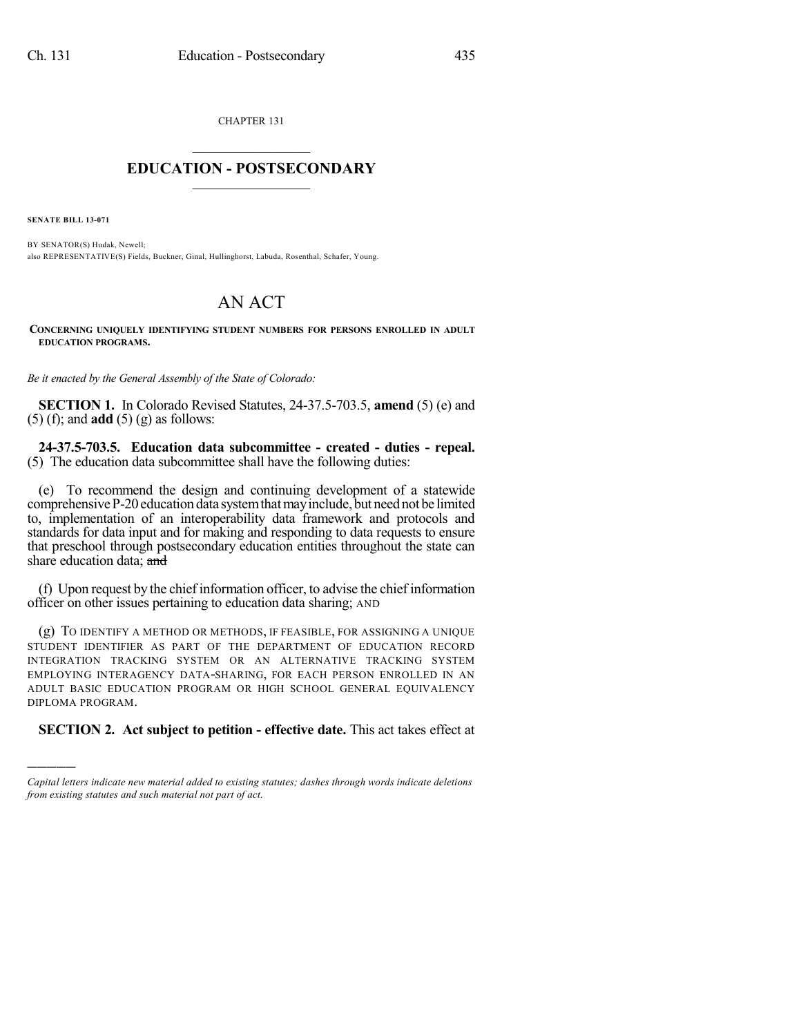CHAPTER 131

## $\overline{\phantom{a}}$  . The set of the set of the set of the set of the set of the set of the set of the set of the set of the set of the set of the set of the set of the set of the set of the set of the set of the set of the set o **EDUCATION - POSTSECONDARY**  $\frac{1}{2}$  ,  $\frac{1}{2}$  ,  $\frac{1}{2}$  ,  $\frac{1}{2}$  ,  $\frac{1}{2}$  ,  $\frac{1}{2}$  ,  $\frac{1}{2}$

**SENATE BILL 13-071**

)))))

BY SENATOR(S) Hudak, Newell; also REPRESENTATIVE(S) Fields, Buckner, Ginal, Hullinghorst, Labuda, Rosenthal, Schafer, Young.

## AN ACT

**CONCERNING UNIQUELY IDENTIFYING STUDENT NUMBERS FOR PERSONS ENROLLED IN ADULT EDUCATION PROGRAMS.**

*Be it enacted by the General Assembly of the State of Colorado:*

**SECTION 1.** In Colorado Revised Statutes, 24-37.5-703.5, **amend** (5) (e) and (5) (f); and **add** (5) (g) as follows:

**24-37.5-703.5. Education data subcommittee - created - duties - repeal.** (5) The education data subcommittee shall have the following duties:

(e) To recommend the design and continuing development of a statewide comprehensive P-20 education data system that may include, but need not be limited to, implementation of an interoperability data framework and protocols and standards for data input and for making and responding to data requests to ensure that preschool through postsecondary education entities throughout the state can share education data; and

(f) Upon request by the chief information officer, to advise the chief information officer on other issues pertaining to education data sharing; AND

(g) TO IDENTIFY A METHOD OR METHODS, IF FEASIBLE, FOR ASSIGNING A UNIQUE STUDENT IDENTIFIER AS PART OF THE DEPARTMENT OF EDUCATION RECORD INTEGRATION TRACKING SYSTEM OR AN ALTERNATIVE TRACKING SYSTEM EMPLOYING INTERAGENCY DATA-SHARING, FOR EACH PERSON ENROLLED IN AN ADULT BASIC EDUCATION PROGRAM OR HIGH SCHOOL GENERAL EQUIVALENCY DIPLOMA PROGRAM.

**SECTION 2. Act subject to petition - effective date.** This act takes effect at

*Capital letters indicate new material added to existing statutes; dashes through words indicate deletions from existing statutes and such material not part of act.*